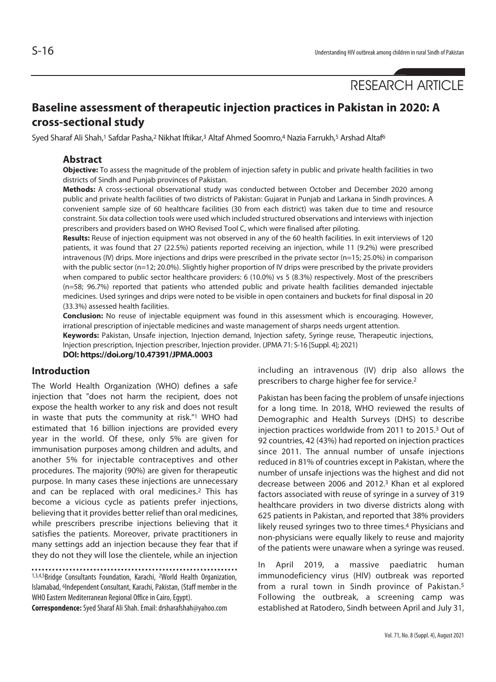# RESEARCH ARTICLE

# **Baseline assessment of therapeutic injection practices in Pakistan in 2020: A cross-sectional study**

Syed Sharaf Ali Shah,<sup>1</sup> Safdar Pasha,<sup>2</sup> Nikhat Iftikar,<sup>3</sup> Altaf Ahmed Soomro,<sup>4</sup> Nazia Farrukh,<sup>5</sup> Arshad Altaf<sup>6</sup>

# **Abstract**

**Objective:** To assess the magnitude of the problem of injection safety in public and private health facilities in two districts of Sindh and Punjab provinces of Pakistan.

**Methods:** A cross-sectional observational study was conducted between October and December 2020 among public and private health facilities of two districts of Pakistan: Gujarat in Punjab and Larkana in Sindh provinces. A convenient sample size of 60 healthcare facilities (30 from each district) was taken due to time and resource constraint. Six data collection tools were used which included structured observations and interviews with injection prescribers and providers based on WHO Revised Tool C, which were finalised after piloting.

**Results:** Reuse of injection equipment was not observed in any of the 60 health facilities. In exit interviews of 120 patients, it was found that 27 (22.5%) patients reported receiving an injection, while 11 (9.2%) were prescribed intravenous (IV) drips. More injections and drips were prescribed in the private sector (n=15; 25.0%) in comparison with the public sector (n=12; 20.0%). Slightly higher proportion of IV drips were prescribed by the private providers when compared to public sector healthcare providers: 6 (10.0%) vs 5 (8.3%) respectively. Most of the prescribers (n=58; 96.7%) reported that patients who attended public and private health facilities demanded injectable medicines. Used syringes and drips were noted to be visible in open containers and buckets for final disposal in 20 (33.3%) assessed health facilities.

**Conclusion:** No reuse of injectable equipment was found in this assessment which is encouraging. However, irrational prescription of injectable medicines and waste management of sharps needs urgent attention.

**Keywords:** Pakistan, Unsafe injection, Injection demand, Injection safety, Syringe reuse, Therapeutic injections,

Injection prescription, Injection prescriber, Injection provider. (JPMA 71: S-16 [Suppl. 4]; 2021)

**DOI: https://doi.org/10.47391/JPMA.0003**

# **Introduction**

The World Health Organization (WHO) defines a safe injection that "does not harm the recipient, does not expose the health worker to any risk and does not result in waste that puts the community at risk."1 WHO had estimated that 16 billion injections are provided every year in the world. Of these, only 5% are given for immunisation purposes among children and adults, and another 5% for injectable contraceptives and other procedures. The majority (90%) are given for therapeutic purpose. In many cases these injections are unnecessary and can be replaced with oral medicines.2 This has become a vicious cycle as patients prefer injections, believing that it provides better relief than oral medicines, while prescribers prescribe injections believing that it satisfies the patients. Moreover, private practitioners in many settings add an injection because they fear that if they do not they will lose the clientele, while an injection

1,3,4,5Bridge Consultants Foundation, Karachi, 2World Health Organization, Islamabad, <sup>6</sup>Independent Consultant, Karachi, Pakistan, (Staff member in the WHO Eastern Mediterranean Regional Office in Cairo, Egypt).

**Correspondence:** Syed Sharaf Ali Shah. Email: drsharafshah@yahoo.com

including an intravenous (IV) drip also allows the prescribers to charge higher fee for service.2

Pakistan has been facing the problem of unsafe injections for a long time. In 2018, WHO reviewed the results of Demographic and Health Surveys (DHS) to describe injection practices worldwide from 2011 to 2015.3 Out of 92 countries, 42 (43%) had reported on injection practices since 2011. The annual number of unsafe injections reduced in 81% of countries except in Pakistan, where the number of unsafe injections was the highest and did not decrease between 2006 and 2012.3 Khan et al explored factors associated with reuse of syringe in a survey of 319 healthcare providers in two diverse districts along with 625 patients in Pakistan, and reported that 38% providers likely reused syringes two to three times.4 Physicians and non-physicians were equally likely to reuse and majority of the patients were unaware when a syringe was reused.

In April 2019, a massive paediatric human immunodeficiency virus (HIV) outbreak was reported from a rural town in Sindh province of Pakistan.5 Following the outbreak, a screening camp was established at Ratodero, Sindh between April and July 31,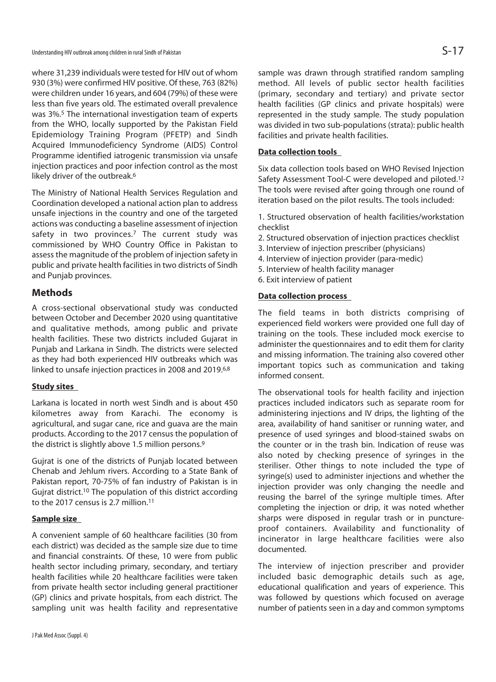where 31,239 individuals were tested for HIV out of whom 930 (3%) were confirmed HIV positive. Of these, 763 (82%) were children under 16 years, and 604 (79%) of these were less than five years old. The estimated overall prevalence was 3%.5 The international investigation team of experts from the WHO, locally supported by the Pakistan Field Epidemiology Training Program (PFETP) and Sindh Acquired Immunodeficiency Syndrome (AIDS) Control Programme identified iatrogenic transmission via unsafe injection practices and poor infection control as the most likely driver of the outbreak.<sup>6</sup>

The Ministry of National Health Services Regulation and Coordination developed a national action plan to address unsafe injections in the country and one of the targeted actions was conducting a baseline assessment of injection safety in two provinces.<sup>7</sup> The current study was commissioned by WHO Country Office in Pakistan to assess the magnitude of the problem of injection safety in public and private health facilities in two districts of Sindh and Punjab provinces.

# **Methods**

A cross-sectional observational study was conducted between October and December 2020 using quantitative and qualitative methods, among public and private health facilities. These two districts included Gujarat in Punjab and Larkana in Sindh. The districts were selected as they had both experienced HIV outbreaks which was linked to unsafe injection practices in 2008 and 2019.6,8

### **Study sites**

Larkana is located in north west Sindh and is about 450 kilometres away from Karachi. The economy is agricultural, and sugar cane, rice and guava are the main products. According to the 2017 census the population of the district is slightly above 1.5 million persons.9

Gujrat is one of the districts of Punjab located between Chenab and Jehlum rivers. According to a State Bank of Pakistan report, 70-75% of fan industry of Pakistan is in Gujrat district.10 The population of this district according to the 2017 census is 2.7 million.<sup>11</sup>

# **Sample size**

A convenient sample of 60 healthcare facilities (30 from each district) was decided as the sample size due to time and financial constraints. Of these, 10 were from public health sector including primary, secondary, and tertiary health facilities while 20 healthcare facilities were taken from private health sector including general practitioner (GP) clinics and private hospitals, from each district. The sampling unit was health facility and representative

sample was drawn through stratified random sampling method. All levels of public sector health facilities (primary, secondary and tertiary) and private sector health facilities (GP clinics and private hospitals) were represented in the study sample. The study population was divided in two sub-populations (strata): public health facilities and private health facilities.

# **Data collection tools**

Six data collection tools based on WHO Revised Injection Safety Assessment Tool-C were developed and piloted.12 The tools were revised after going through one round of iteration based on the pilot results. The tools included:

1. Structured observation of health facilities/workstation checklist

- 2. Structured observation of injection practices checklist
- 3. Interview of injection prescriber (physicians)
- 4. Interview of injection provider (para-medic)
- 5. Interview of health facility manager
- 6. Exit interview of patient

# **Data collection process**

The field teams in both districts comprising of experienced field workers were provided one full day of training on the tools. These included mock exercise to administer the questionnaires and to edit them for clarity and missing information. The training also covered other important topics such as communication and taking informed consent.

The observational tools for health facility and injection practices included indicators such as separate room for administering injections and IV drips, the lighting of the area, availability of hand sanitiser or running water, and presence of used syringes and blood-stained swabs on the counter or in the trash bin. Indication of reuse was also noted by checking presence of syringes in the steriliser. Other things to note included the type of syringe(s) used to administer injections and whether the injection provider was only changing the needle and reusing the barrel of the syringe multiple times. After completing the injection or drip, it was noted whether sharps were disposed in regular trash or in punctureproof containers. Availability and functionality of incinerator in large healthcare facilities were also documented.

The interview of injection prescriber and provider included basic demographic details such as age, educational qualification and years of experience. This was followed by questions which focused on average number of patients seen in a day and common symptoms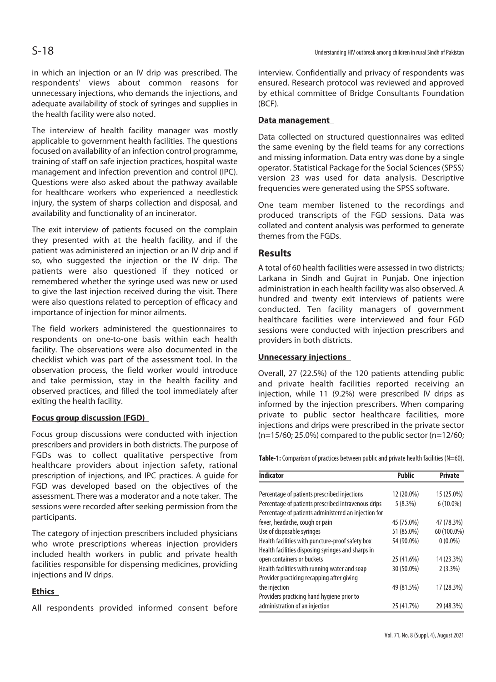in which an injection or an IV drip was prescribed. The respondents' views about common reasons for unnecessary injections, who demands the injections, and adequate availability of stock of syringes and supplies in the health facility were also noted.

The interview of health facility manager was mostly applicable to government health facilities. The questions focused on availability of an infection control programme, training of staff on safe injection practices, hospital waste management and infection prevention and control (IPC). Questions were also asked about the pathway available for healthcare workers who experienced a needlestick injury, the system of sharps collection and disposal, and availability and functionality of an incinerator.

The exit interview of patients focused on the complain they presented with at the health facility, and if the patient was administered an injection or an IV drip and if so, who suggested the injection or the IV drip. The patients were also questioned if they noticed or remembered whether the syringe used was new or used to give the last injection received during the visit. There were also questions related to perception of efficacy and importance of injection for minor ailments.

The field workers administered the questionnaires to respondents on one-to-one basis within each health facility. The observations were also documented in the checklist which was part of the assessment tool. In the observation process, the field worker would introduce and take permission, stay in the health facility and observed practices, and filled the tool immediately after exiting the health facility.

# **Focus group discussion (FGD)**

Focus group discussions were conducted with injection prescribers and providers in both districts. The purpose of FGDs was to collect qualitative perspective from healthcare providers about injection safety, rational prescription of injections, and IPC practices. A guide for FGD was developed based on the objectives of the assessment. There was a moderator and a note taker. The sessions were recorded after seeking permission from the participants.

The category of injection prescribers included physicians who wrote prescriptions whereas injection providers included health workers in public and private health facilities responsible for dispensing medicines, providing injections and IV drips.

# **Ethics**

All respondents provided informed consent before

interview. Confidentially and privacy of respondents was ensured. Research protocol was reviewed and approved by ethical committee of Bridge Consultants Foundation (BCF).

# **Data management**

Data collected on structured questionnaires was edited the same evening by the field teams for any corrections and missing information. Data entry was done by a single operator. Statistical Package for the Social Sciences (SPSS) version 23 was used for data analysis. Descriptive frequencies were generated using the SPSS software.

One team member listened to the recordings and produced transcripts of the FGD sessions. Data was collated and content analysis was performed to generate themes from the FGDs.

# **Results**

A total of 60 health facilities were assessed in two districts; Larkana in Sindh and Gujrat in Punjab. One injection administration in each health facility was also observed. A hundred and twenty exit interviews of patients were conducted. Ten facility managers of government healthcare facilities were interviewed and four FGD sessions were conducted with injection prescribers and providers in both districts.

# **Unnecessary injections**

Overall, 27 (22.5%) of the 120 patients attending public and private health facilities reported receiving an injection, while 11 (9.2%) were prescribed IV drips as informed by the injection prescribers. When comparing private to public sector healthcare facilities, more injections and drips were prescribed in the private sector (n=15/60; 25.0%) compared to the public sector (n=12/60;

Table-1: Comparison of practices between public and private health facilities (N=60).

| <b>Indicator</b>                                     | <b>Public</b> | <b>Private</b> |
|------------------------------------------------------|---------------|----------------|
| Percentage of patients prescribed injections         | 12 (20.0%)    | 15 (25.0%)     |
| Percentage of patients prescribed intravenous drips  | 5(8.3%)       | $6(10.0\%)$    |
| Percentage of patients administered an injection for |               |                |
| fever, headache, cough or pain                       | 45 (75.0%)    | 47 (78.3%)     |
| Use of disposable syringes                           | 51 (85.0%)    | 60 (100.0%)    |
| Health facilities with puncture-proof safety box     | 54 (90.0%)    | $0(0.0\%)$     |
| Health facilities disposing syringes and sharps in   |               |                |
| open containers or buckets                           | 25 (41.6%)    | 14 (23.3%)     |
| Health facilities with running water and soap        | 30 (50.0%)    | $2(3.3\%)$     |
| Provider practicing recapping after giving           |               |                |
| the injection                                        | 49 (81.5%)    | 17 (28.3%)     |
| Providers practicing hand hygiene prior to           |               |                |
| administration of an injection                       | 25 (41.7%)    | 29 (48.3%)     |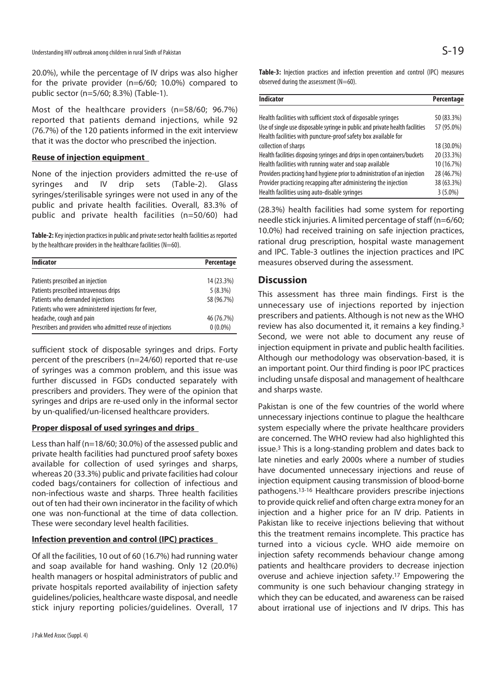20.0%), while the percentage of IV drips was also higher for the private provider (n=6/60; 10.0%) compared to public sector (n=5/60; 8.3%) (Table-1).

Most of the healthcare providers (n=58/60; 96.7%) reported that patients demand injections, while 92 (76.7%) of the 120 patients informed in the exit interview that it was the doctor who prescribed the injection.

#### **Reuse of injection equipment**

None of the injection providers admitted the re-use of syringes and IV drip sets (Table-2). Glass syringes/sterilisable syringes were not used in any of the public and private health facilities. Overall, 83.3% of public and private health facilities (n=50/60) had

**Table-2:** Key injection practices in public and private sector health facilities as reported by the healthcare providers in the healthcare facilities ( $N=60$ ).

| <b>Indicator</b>                                           | Percentage |
|------------------------------------------------------------|------------|
| Patients prescribed an injection                           | 14 (23.3%) |
| Patients prescribed intravenous drips                      | 5(8.3%)    |
| Patients who demanded injections                           | 58 (96.7%) |
| Patients who were administered injections for fever,       |            |
| headache, cough and pain                                   | 46 (76.7%) |
| Prescribers and providers who admitted reuse of injections | $0(0.0\%)$ |

sufficient stock of disposable syringes and drips. Forty percent of the prescribers (n=24/60) reported that re-use of syringes was a common problem, and this issue was further discussed in FGDs conducted separately with prescribers and providers. They were of the opinion that syringes and drips are re-used only in the informal sector by un-qualified/un-licensed healthcare providers.

#### **Proper disposal of used syringes and drips**

Less than half (n=18/60; 30.0%) of the assessed public and private health facilities had punctured proof safety boxes available for collection of used syringes and sharps, whereas 20 (33.3%) public and private facilities had colour coded bags/containers for collection of infectious and non-infectious waste and sharps. Three health facilities out of ten had their own incinerator in the facility of which one was non-functional at the time of data collection. These were secondary level health facilities.

## **Infection prevention and control (IPC) practices**

Of all the facilities, 10 out of 60 (16.7%) had running water and soap available for hand washing. Only 12 (20.0%) health managers or hospital administrators of public and private hospitals reported availability of injection safety guidelines/policies, healthcare waste disposal, and needle stick injury reporting policies/guidelines. Overall, 17

**Table-3:** Injection practices and infection prevention and control (IPC) measures observed during the assessment ( $N=60$ ).

| <b>Indicator</b>                                                             | Percentage |
|------------------------------------------------------------------------------|------------|
|                                                                              | 50 (83.3%) |
| Health facilities with sufficient stock of disposable syringes               |            |
| Use of single use disposable syringe in public and private health facilities | 57 (95.0%) |
| Health facilities with puncture-proof safety box available for               |            |
| collection of sharps                                                         | 18 (30.0%) |
| Health facilities disposing syringes and drips in open containers/buckets    | 20 (33.3%) |
| Health facilities with running water and soap available                      | 10 (16.7%) |
| Providers practicing hand hygiene prior to administration of an injection    | 28 (46.7%) |
| Provider practicing recapping after administering the injection              | 38 (63.3%) |
| Health facilities using auto-disable syringes                                | $3(5.0\%)$ |

(28.3%) health facilities had some system for reporting needle stick injuries. A limited percentage of staff (n=6/60; 10.0%) had received training on safe injection practices, rational drug prescription, hospital waste management and IPC. Table-3 outlines the injection practices and IPC measures observed during the assessment.

# **Discussion**

This assessment has three main findings. First is the unnecessary use of injections reported by injection prescribers and patients. Although is not new as the WHO review has also documented it, it remains a key finding.3 Second, we were not able to document any reuse of injection equipment in private and public health facilities. Although our methodology was observation-based, it is an important point. Our third finding is poor IPC practices including unsafe disposal and management of healthcare and sharps waste.

Pakistan is one of the few countries of the world where unnecessary injections continue to plague the healthcare system especially where the private healthcare providers are concerned. The WHO review had also highlighted this issue.3 This is a long-standing problem and dates back to late nineties and early 2000s where a number of studies have documented unnecessary injections and reuse of injection equipment causing transmission of blood-borne pathogens.13-16 Healthcare providers prescribe injections to provide quick relief and often charge extra money for an injection and a higher price for an IV drip. Patients in Pakistan like to receive injections believing that without this the treatment remains incomplete. This practice has turned into a vicious cycle. WHO aide memoire on injection safety recommends behaviour change among patients and healthcare providers to decrease injection overuse and achieve injection safety.17 Empowering the community is one such behaviour changing strategy in which they can be educated, and awareness can be raised about irrational use of injections and IV drips. This has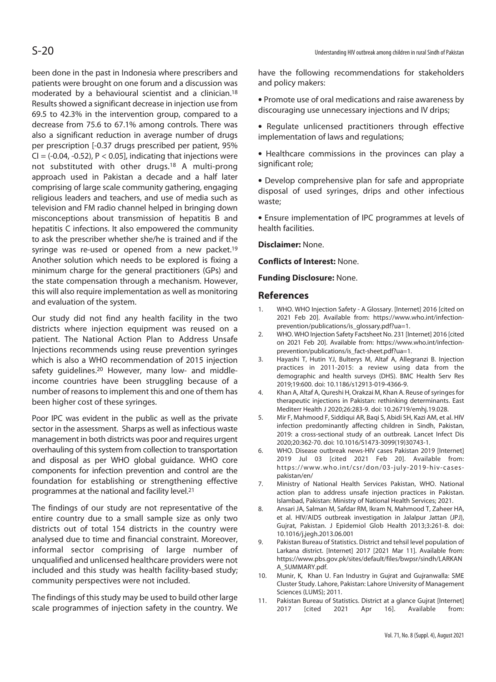been done in the past in Indonesia where prescribers and patients were brought on one forum and a discussion was moderated by a behavioural scientist and a clinician.18 Results showed a significant decrease in injection use from 69.5 to 42.3% in the intervention group, compared to a decrease from 75.6 to 67.1% among controls. There was also a significant reduction in average number of drugs per prescription [-0.37 drugs prescribed per patient, 95%  $CI = (-0.04, -0.52), P < 0.05$ ], indicating that injections were not substituted with other drugs.18 A multi-prong approach used in Pakistan a decade and a half later comprising of large scale community gathering, engaging religious leaders and teachers, and use of media such as television and FM radio channel helped in bringing down misconceptions about transmission of hepatitis B and hepatitis C infections. It also empowered the community to ask the prescriber whether she/he is trained and if the syringe was re-used or opened from a new packet.<sup>19</sup> Another solution which needs to be explored is fixing a minimum charge for the general practitioners (GPs) and the state compensation through a mechanism. However, this will also require implementation as well as monitoring and evaluation of the system.

Our study did not find any health facility in the two districts where injection equipment was reused on a patient. The National Action Plan to Address Unsafe Injections recommends using reuse prevention syringes which is also a WHO recommendation of 2015 injection safety quidelines.<sup>20</sup> However, many low- and middleincome countries have been struggling because of a number of reasons to implement this and one of them has been higher cost of these syringes.

Poor IPC was evident in the public as well as the private sector in the assessment. Sharps as well as infectious waste management in both districts was poor and requires urgent overhauling of this system from collection to transportation and disposal as per WHO global guidance. WHO core components for infection prevention and control are the foundation for establishing or strengthening effective programmes at the national and facility level.21

The findings of our study are not representative of the entire country due to a small sample size as only two districts out of total 154 districts in the country were analysed due to time and financial constraint. Moreover, informal sector comprising of large number of unqualified and unlicensed healthcare providers were not included and this study was health facility-based study; community perspectives were not included.

The findings of this study may be used to build other large scale programmes of injection safety in the country. We have the following recommendations for stakeholders and policy makers:

- Promote use of oral medications and raise awareness by discouraging use unnecessary injections and IV drips;
- Regulate unlicensed practitioners through effective implementation of laws and regulations;
- Healthcare commissions in the provinces can play a significant role;

• Develop comprehensive plan for safe and appropriate disposal of used syringes, drips and other infectious waste;

• Ensure implementation of IPC programmes at levels of health facilities.

**Disclaimer:** None.

**Conflicts of Interest:** None.

#### **Funding Disclosure:** None.

#### **References**

- WHO. WHO Injection Safety A Glossary. [Internet] 2016 [cited on 2021 Feb 20]. Available from: https://www.who.int/infectionprevention/publications/is\_glossary.pdf?ua=1.
- 2. WHO. WHO Injection Safety Factsheet No. 231 [Internet] 2016 [cited on 2021 Feb 20]. Available from: https://www.who.int/infectionprevention/publications/is\_fact-sheet.pdf?ua=1.
- 3. Hayashi T, Hutin YJ, Bulterys M, Altaf A, Allegranzi B. Injection practices in 2011-2015: a review using data from the demographic and health surveys (DHS). BMC Health Serv Res 2019;19:600. doi: 10.1186/s12913-019-4366-9.
- 4. Khan A, Altaf A, Qureshi H, Orakzai M, Khan A. Reuse of syringes for therapeutic injections in Pakistan: rethinking determinants. East Mediterr Health J 2020;26:283-9. doi: 10.26719/emhj.19.028.
- 5. Mir F, Mahmood F, Siddiqui AR, Baqi S, Abidi SH, Kazi AM, et al. HIV infection predominantly affecting children in Sindh, Pakistan, 2019: a cross-sectional study of an outbreak. Lancet Infect Dis 2020;20:362-70. doi: 10.1016/S1473-3099(19)30743-1.
- 6. WHO. Disease outbreak news-HIV cases Pakistan 2019 [Internet] 2019 Jul 03 [cited 2021 Feb 20]. Available from: https://www.who.int/csr/don/03-july-2019-hiv-casespakistan/en/
- 7. Ministry of National Health Services Pakistan, WHO. National action plan to address unsafe injection practices in Pakistan. Islambad, Pakistan: Ministry of National Health Services; 2021.
- 8. Ansari JA, Salman M, Safdar RM, Ikram N, Mahmood T, Zaheer HA, et al. HIV/AIDS outbreak investigation in Jalalpur Jattan (JPJ), Gujrat, Pakistan. J Epidemiol Glob Health 2013;3:261-8. doi: 10.1016/j.jegh.2013.06.001
- 9. Pakistan Bureau of Statistics. District and tehsil level population of Larkana district. [Internet] 2017 [2021 Mar 11]. Available from: https://www.pbs.gov.pk/sites/default/files/bwpsr/sindh/LARKAN A\_SUMMARY.pdf.
- 10. Munir, K, Khan U. Fan Industry in Gujrat and Gujranwalla: SME Cluster Study. Lahore, Pakistan: Lahore University of Management Sciences (LUMS); 2011.
- 11. Pakistan Bureau of Statistics. District at a glance Gujrat [Internet] 2017 [cited 2021 Apr 16]. Available from: